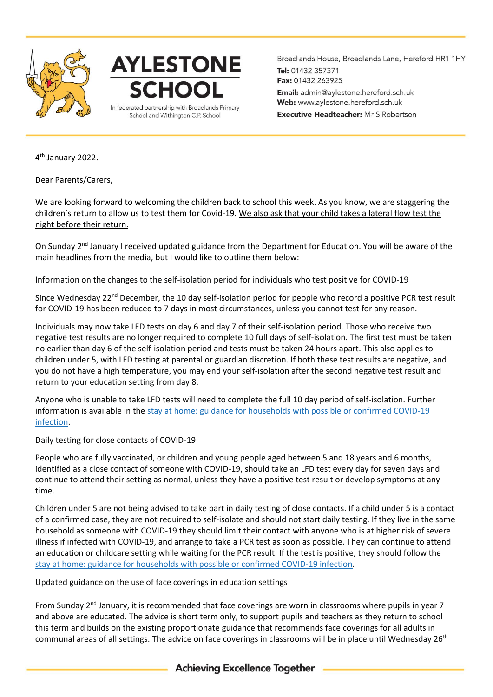

## **AYLESTONE SCHOOL** In federated partnership with Broadlands Primary

School and Withington C.P. School

Broadlands House, Broadlands Lane, Hereford HR1 1HY Tel: 01432 357371 Fax: 01432 263925 Email: admin@aylestone.hereford.sch.uk Web: www.aylestone.hereford.sch.uk **Executive Headteacher:** Mr S Robertson

4 th January 2022.

Dear Parents/Carers,

We are looking forward to welcoming the children back to school this week. As you know, we are staggering the children's return to allow us to test them for Covid-19. We also ask that your child takes a lateral flow test the night before their return.

On Sunday 2<sup>nd</sup> January I received updated guidance from the Department for Education. You will be aware of the main headlines from the media, but I would like to outline them below:

### Information on the changes to the self-isolation period for individuals who test positive for COVID-19

Since Wednesday 22<sup>nd</sup> December, the 10 day self-isolation period for people who record a positive PCR test result for COVID-19 has been reduced to 7 days in most circumstances, unless you cannot test for any reason.

Individuals may now take LFD tests on day 6 and day 7 of their self-isolation period. Those who receive two negative test results are no longer required to complete 10 full days of self-isolation. The first test must be taken no earlier than day 6 of the self-isolation period and tests must be taken 24 hours apart. This also applies to children under 5, with LFD testing at parental or guardian discretion. If both these test results are negative, and you do not have a high temperature, you may end your self-isolation after the second negative test result and return to your education setting from day 8.

Anyone who is unable to take LFD tests will need to complete the full 10 day period of self-isolation. Further information is available in the [stay at home: guidance for households with possible or confirmed COVID-19](https://www.gov.uk/government/publications/covid-19-stay-at-home-guidance/stay-at-home-guidance-for-households-with-possible-coronavirus-covid-19-infection?utm_source=2%20January%202022%20C19&utm_medium=Daily%20Email%20C19&utm_campaign=DfE%20C19)  [infection.](https://www.gov.uk/government/publications/covid-19-stay-at-home-guidance/stay-at-home-guidance-for-households-with-possible-coronavirus-covid-19-infection?utm_source=2%20January%202022%20C19&utm_medium=Daily%20Email%20C19&utm_campaign=DfE%20C19)

### Daily testing for close contacts of COVID-19

People who are fully vaccinated, or children and young people aged between 5 and 18 years and 6 months, identified as a close contact of someone with COVID-19, should take an LFD test every day for seven days and continue to attend their setting as normal, unless they have a positive test result or develop symptoms at any time.

Children under 5 are not being advised to take part in daily testing of close contacts. If a child under 5 is a contact of a confirmed case, they are not required to self-isolate and should not start daily testing. If they live in the same household as someone with COVID-19 they should limit their contact with anyone who is at higher risk of severe illness if infected with COVID-19, and arrange to take a PCR test as soon as possible. They can continue to attend an education or childcare setting while waiting for the PCR result. If the test is positive, they should follow the [stay at home: guidance for households with possible or confirmed COVID-19 infection.](https://www.gov.uk/government/publications/covid-19-stay-at-home-guidance/stay-at-home-guidance-for-households-with-possible-coronavirus-covid-19-infection?utm_source=2%20January%202022%20C19&utm_medium=Daily%20Email%20C19&utm_campaign=DfE%20C19)

### Updated guidance on the use of face coverings in education settings

From Sunday  $2<sup>nd</sup>$  January, it is recommended that face coverings are worn in classrooms where pupils in year 7 and above are educated. The advice is short term only, to support pupils and teachers as they return to school this term and builds on the existing proportionate guidance that recommends face coverings for all adults in communal areas of all settings. The advice on face coverings in classrooms will be in place until Wednesday  $26<sup>th</sup>$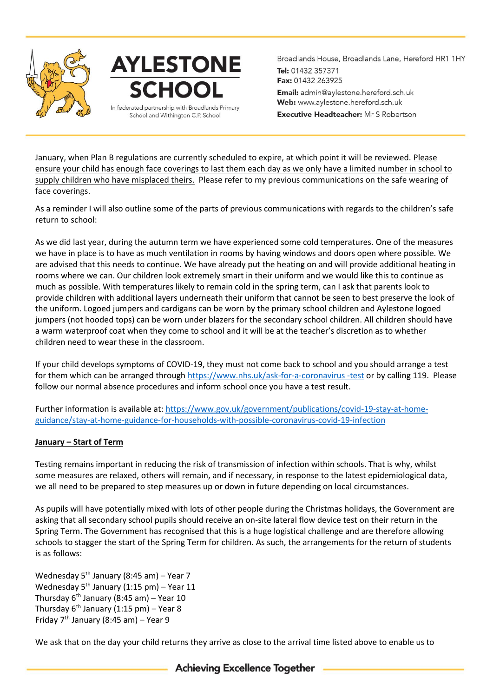

# **AYLESTONE SCHOOL** In federated partnership with Broadlands Primary

School and Withington C.P. School

Broadlands House, Broadlands Lane, Hereford HR1 1HY Tel: 01432 357371 Fax: 01432 263925 Email: admin@aylestone.hereford.sch.uk Web: www.aylestone.hereford.sch.uk **Executive Headteacher:** Mr S Robertson

January, when Plan B regulations are currently scheduled to expire, at which point it will be reviewed. Please ensure your child has enough face coverings to last them each day as we only have a limited number in school to supply children who have misplaced theirs. Please refer to my previous communications on the safe wearing of face coverings.

As a reminder I will also outline some of the parts of previous communications with regards to the children's safe return to school:

As we did last year, during the autumn term we have experienced some cold temperatures. One of the measures we have in place is to have as much ventilation in rooms by having windows and doors open where possible. We are advised that this needs to continue. We have already put the heating on and will provide additional heating in rooms where we can. Our children look extremely smart in their uniform and we would like this to continue as much as possible. With temperatures likely to remain cold in the spring term, can I ask that parents look to provide children with additional layers underneath their uniform that cannot be seen to best preserve the look of the uniform. Logoed jumpers and cardigans can be worn by the primary school children and Aylestone logoed jumpers (not hooded tops) can be worn under blazers for the secondary school children. All children should have a warm waterproof coat when they come to school and it will be at the teacher's discretion as to whether children need to wear these in the classroom.

If your child develops symptoms of COVID-19, they must not come back to school and you should arrange a test for them which can be arranged throug[h https://www.nhs.uk/ask-for-a-coronavirus -test](https://www.nhs.uk/ask-for-a-coronavirus%20-test) or by calling 119. Please follow our normal absence procedures and inform school once you have a test result.

Further information is available at: [https://www.gov.uk/government/publications/covid-19-stay-at-home](https://www.gov.uk/government/publications/covid-19-stay-at-home-guidance/stay-at-home-guidance-for-households-with-possible-coronavirus-covid-19-infection)[guidance/stay-at-home-guidance-for-households-with-possible-coronavirus-covid-19-infection](https://www.gov.uk/government/publications/covid-19-stay-at-home-guidance/stay-at-home-guidance-for-households-with-possible-coronavirus-covid-19-infection)

### **January – Start of Term**

Testing remains important in reducing the risk of transmission of infection within schools. That is why, whilst some measures are relaxed, others will remain, and if necessary, in response to the latest epidemiological data, we all need to be prepared to step measures up or down in future depending on local circumstances.

As pupils will have potentially mixed with lots of other people during the Christmas holidays, the Government are asking that all secondary school pupils should receive an on-site lateral flow device test on their return in the Spring Term. The Government has recognised that this is a huge logistical challenge and are therefore allowing schools to stagger the start of the Spring Term for children. As such, the arrangements for the return of students is as follows:

Wednesday  $5<sup>th</sup>$  January (8:45 am) – Year 7 Wednesday  $5<sup>th</sup>$  January (1:15 pm) – Year 11 Thursday  $6<sup>th</sup>$  January (8:45 am) – Year 10 Thursday  $6^{th}$  January (1:15 pm) – Year 8 Friday  $7<sup>th</sup>$  January (8:45 am) – Year 9

We ask that on the day your child returns they arrive as close to the arrival time listed above to enable us to

**Achieving Excellence Together**